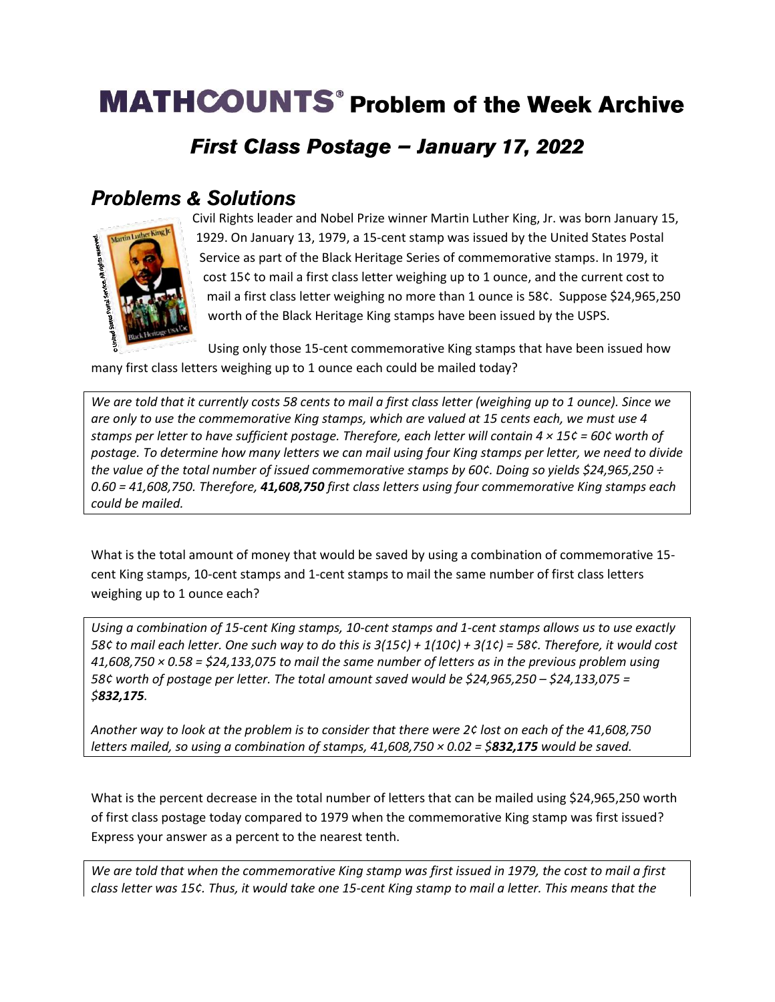## **MATHCOUNTS<sup>®</sup> Problem of the Week Archive**

## First Class Postage - January 17, 2022

#### **Problems & Solutions**



Civil Rights leader and Nobel Prize winner Martin Luther King, Jr. was born January 15, 1929. On January 13, 1979, a 15-cent stamp was issued by the United States Postal Service as part of the Black Heritage Series of commemorative stamps. In 1979, it cost 15¢ to mail a first class letter weighing up to 1 ounce, and the current cost to mail a first class letter weighing no more than 1 ounce is 58¢. Suppose \$24,965,250 worth of the Black Heritage King stamps have been issued by the USPS.

Using only those 15-cent commemorative King stamps that have been issued how many first class letters weighing up to 1 ounce each could be mailed today?

*We are told that it currently costs 58 cents to mail a first class letter (weighing up to 1 ounce). Since we are only to use the commemorative King stamps, which are valued at 15 cents each, we must use 4 stamps per letter to have sufficient postage. Therefore, each letter will contain 4 × 15¢ = 60¢ worth of postage. To determine how many letters we can mail using four King stamps per letter, we need to divide the value of the total number of issued commemorative stamps by 60¢. Doing so yields \$24,965,250 ÷ 0.60 = 41,608,750. Therefore, 41,608,750 first class letters using four commemorative King stamps each could be mailed.* 

What is the total amount of money that would be saved by using a combination of commemorative 15 cent King stamps, 10-cent stamps and 1-cent stamps to mail the same number of first class letters weighing up to 1 ounce each?

*Using a combination of 15-cent King stamps, 10-cent stamps and 1-cent stamps allows us to use exactly 58¢ to mail each letter. One such way to do this is 3(15¢) + 1(10¢) + 3(1¢) = 58¢. Therefore, it would cost 41,608,750 × 0.58 = \$24,133,075 to mail the same number of letters as in the previous problem using 58¢ worth of postage per letter. The total amount saved would be \$24,965,250 – \$24,133,075 = \$832,175.*

*Another way to look at the problem is to consider that there were 2¢ lost on each of the 41,608,750 letters mailed, so using a combination of stamps, 41,608,750 × 0.02 = \$832,175 would be saved.* 

What is the percent decrease in the total number of letters that can be mailed using \$24,965,250 worth of first class postage today compared to 1979 when the commemorative King stamp was first issued? Express your answer as a percent to the nearest tenth.

*We are told that when the commemorative King stamp was first issued in 1979, the cost to mail a first class letter was 15¢. Thus, it would take one 15-cent King stamp to mail a letter. This means that the*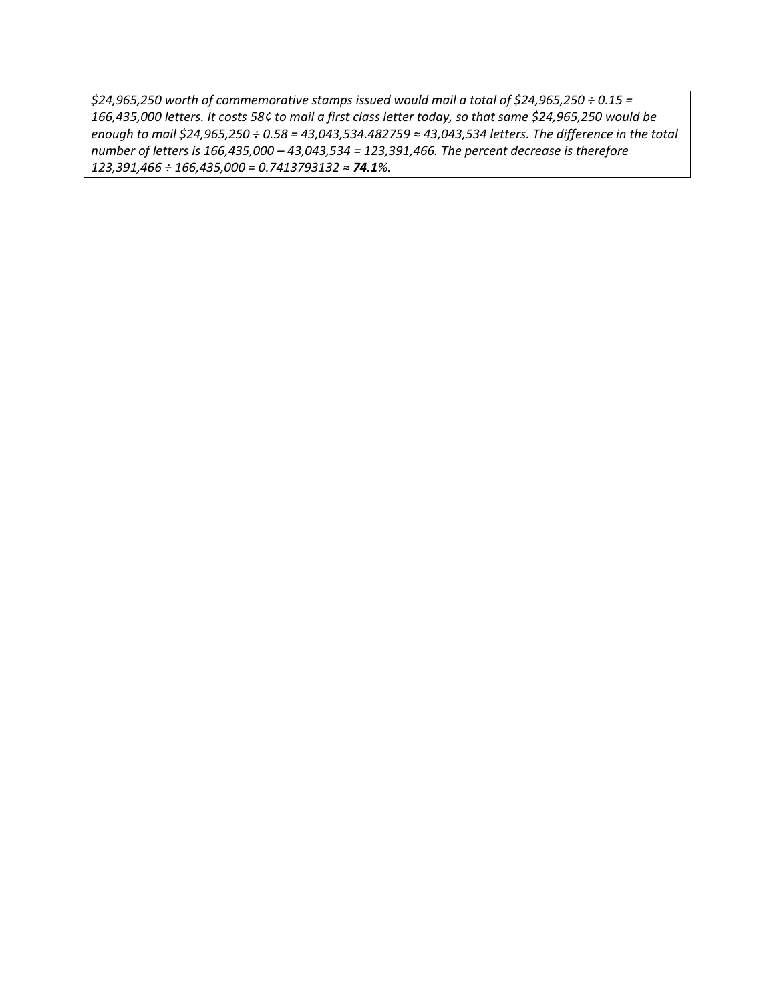*\$24,965,250 worth of commemorative stamps issued would mail a total of \$24,965,250 ÷ 0.15 = 166,435,000 letters. It costs 58¢ to mail a first class letter today, so that same \$24,965,250 would be enough to mail \$24,965,250 ÷ 0.58 = 43,043,534.482759 ≈ 43,043,534 letters. The difference in the total number of letters is 166,435,000 – 43,043,534 = 123,391,466. The percent decrease is therefore 123,391,466 ÷ 166,435,000 = 0.7413793132 ≈ 74.1%.*